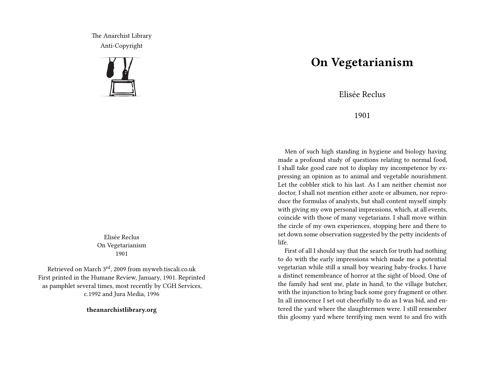The Anarchist Library Anti-Copyright



Elisée Reclus On Vegetarianism 1901

Retrieved on March 3rd, 2009 from myweb.tiscali.co.uk First printed in the Humane Review, January, 1901. Reprinted as pamphlet several times, most recently by CGH Services, c.1992 and Jura Media, 1996

**theanarchistlibrary.org**

## **On Vegetarianism**

Elisée Reclus

1901

Men of such high standing in hygiene and biology having made a profound study of questions relating to normal food, I shall take good care not to display my incompetence by expressing an opinion as to animal and vegetable nourishment. Let the cobbler stick to his last. As I am neither chemist nor doctor, I shall not mention either azote or albumen, nor reproduce the formulas of analysts, but shall content myself simply with giving my own personal impressions, which, at all events, coincide with those of many vegetarians. I shall move within the circle of my own experiences, stopping here and there to set down some observation suggested by the petty incidents of life.

First of all I should say that the search for truth had nothing to do with the early impressions which made me a potential vegetarian while still a small boy wearing baby-frocks. I have a distinct remembrance of horror at the sight of blood. One of the family had sent me, plate in hand, to the village butcher, with the injunction to bring back some gory fragment or other. In all innocence I set out cheerfully to do as I was bid, and entered the yard where the slaughtermen were. I still remember this gloomy yard where terrifying men went to and fro with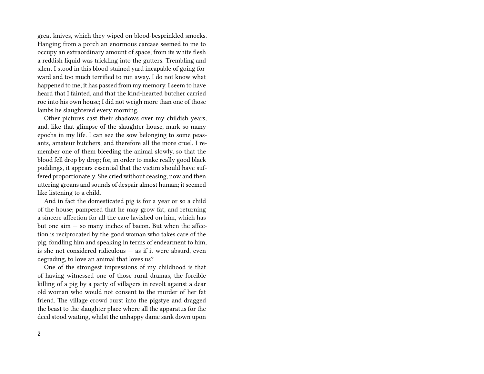great knives, which they wiped on blood-besprinkled smocks. Hanging from a porch an enormous carcase seemed to me to occupy an extraordinary amount of space; from its white flesh a reddish liquid was trickling into the gutters. Trembling and silent I stood in this blood-stained yard incapable of going forward and too much terrified to run away. I do not know what happened to me; it has passed from my memory. I seem to have heard that I fainted, and that the kind-hearted butcher carried roe into his own house; I did not weigh more than one of those lambs he slaughtered every morning.

Other pictures cast their shadows over my childish years, and, like that glimpse of the slaughter-house, mark so many epochs in my life. I can see the sow belonging to some peasants, amateur butchers, and therefore all the more cruel. I remember one of them bleeding the animal slowly, so that the blood fell drop by drop; for, in order to make really good black puddings, it appears essential that the victim should have suffered proportionately. She cried without ceasing, now and then uttering groans and sounds of despair almost human; it seemed like listening to a child.

And in fact the domesticated pig is for a year or so a child of the house; pampered that he may grow fat, and returning a sincere affection for all the care lavished on him, which has but one aim — so many inches of bacon. But when the affection is reciprocated by the good woman who takes care of the pig, fondling him and speaking in terms of endearment to him, is she not considered ridiculous — as if it were absurd, even degrading, to love an animal that loves us?

One of the strongest impressions of my childhood is that of having witnessed one of those rural dramas, the forcible killing of a pig by a party of villagers in revolt against a dear old woman who would not consent to the murder of her fat friend. The village crowd burst into the pigstye and dragged the beast to the slaughter place where all the apparatus for the deed stood waiting, whilst the unhappy dame sank down upon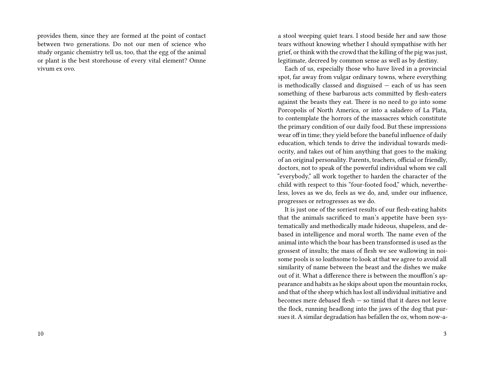provides them, since they are formed at the point of contact between two generations. Do not our men of science who study organic chemistry tell us, too, that the egg of the animal or plant is the best storehouse of every vital element? Omne vivum ex ovo.

a stool weeping quiet tears. I stood beside her and saw those tears without knowing whether I should sympathise with her grief, or think with the crowd that the killing of the pig was just, legitimate, decreed by common sense as well as by destiny.

Each of us, especially those who have lived in a provincial spot, far away from vulgar ordinary towns, where everything is methodically classed and disguised — each of us has seen something of these barbarous acts committed by flesh-eaters against the beasts they eat. There is no need to go into some Porcopolis of North America, or into a saladero of La Plata, to contemplate the horrors of the massacres which constitute the primary condition of our daily food. But these impressions wear off in time; they yield before the baneful influence of daily education, which tends to drive the individual towards mediocrity, and takes out of him anything that goes to the making of an original personality. Parents, teachers, official or friendly, doctors, not to speak of the powerful individual whom we call "everybody," all work together to harden the character of the child with respect to this "four-footed food," which, nevertheless, loves as we do, feels as we do, and, under our influence, progresses or retrogresses as we do.

It is just one of the sorriest results of our flesh-eating habits that the animals sacrificed to man's appetite have been systematically and methodically made hideous, shapeless, and debased in intelligence and moral worth. The name even of the animal into which the boar has been transformed is used as the grossest of insults; the mass of flesh we see wallowing in noisome pools is so loathsome to look at that we agree to avoid all similarity of name between the beast and the dishes we make out of it. What a difference there is between the moufflon's appearance and habits as he skips about upon the mountain rocks, and that of the sheep which has lost all individual initiative and becomes mere debased flesh — so timid that it dares not leave the flock, running headlong into the jaws of the dog that pursues it. A similar degradation has befallen the ox, whom now-a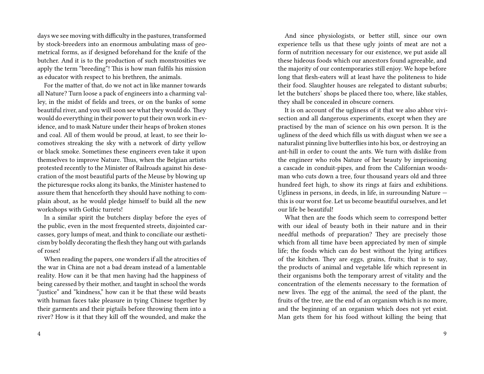days we see moving with difficulty in the pastures, transformed by stock-breeders into an enormous ambulating mass of geometrical forms, as if designed beforehand for the knife of the butcher. And it is to the production of such monstrosities we apply the term "breeding"! This is how man fulfils his mission as educator with respect to his brethren, the animals.

For the matter of that, do we not act in like manner towards all Nature? Turn loose a pack of engineers into a charming valley, in the midst of fields and trees, or on the banks of some beautiful river, and you will soon see what they would do. They would do everything in their power to put their own work in evidence, and to mask Nature under their heaps of broken stones and coal. All of them would be proud, at least, to see their locomotives streaking the sky with a network of dirty yellow or black smoke. Sometimes these engineers even take it upon themselves to improve Nature. Thus, when the Belgian artists protested recently to the Minister of Railroads against his desecration of the most beautiful parts of the Meuse by blowing up the picturesque rocks along its banks, the Minister hastened to assure them that henceforth they should have nothing to complain about, as he would pledge himself to build all the new workshops with Gothic turrets!

In a similar spirit the butchers display before the eyes of the public, even in the most frequented streets, disjointed carcasses, gory lumps of meat, and think to conciliate our æstheticism by boldly decorating the flesh they hang out with garlands of roses!

When reading the papers, one wonders if all the atrocities of the war in China are not a bad dream instead of a lamentable reality. How can it be that men having had the happiness of being caressed by their mother, and taught in school the words "justice" and "kindness," how can it be that these wild beasts with human faces take pleasure in tying Chinese together by their garments and their pigtails before throwing them into a river? How is it that they kill off the wounded, and make the

And since physiologists, or better still, since our own experience tells us that these ugly joints of meat are not a form of nutrition necessary for our existence, we put aside all these hideous foods which our ancestors found agreeable, and the majority of our contemporaries still enjoy. We hope before long that flesh-eaters will at least have the politeness to hide their food. Slaughter houses are relegated to distant suburbs; let the butchers' shops be placed there too, where, like stables, they shall be concealed in obscure corners.

It is on account of the ugliness of it that we also abhor vivisection and all dangerous experiments, except when they are practised by the man of science on his own person. It is the ugliness of the deed which fills us with disgust when we see a naturalist pinning live butterflies into his box, or destroying an ant-hill in order to count the ants. We turn with dislike from the engineer who robs Nature of her beauty by imprisoning a cascade in conduit-pipes, and from the Californian woodsman who cuts down a tree, four thousand years old and three hundred feet high, to show its rings at fairs and exhibitions. Ugliness in persons, in deeds, in life, in surrounding Nature this is our worst foe. Let us become beautiful ourselves, and let our life be beautiful!

What then are the foods which seem to correspond better with our ideal of beauty both in their nature and in their needful methods of preparation? They are precisely those which from all time have been appreciated by men of simple life; the foods which can do best without the lying artifices of the kitchen. They are eggs, grains, fruits; that is to say, the products of animal and vegetable life which represent in their organisms both the temporary arrest of vitality and the concentration of the elements necessary to the formation of new lives. The egg of the animal, the seed of the plant, the fruits of the tree, are the end of an organism which is no more, and the beginning of an organism which does not yet exist. Man gets them for his food without killing the being that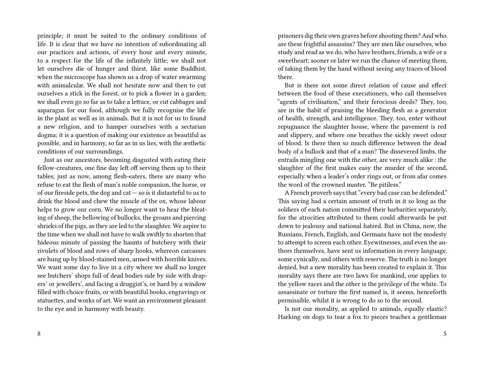principle; it must be suited to the ordinary conditions of life. It is clear that we have no intention of subordinating all our practices and actions, of every hour and every minute, to a respect for the life of the infinitely little; we shall not let ourselves die of hunger and thirst, like some Buddhist, when the microscope has shown us a drop of water swarming with animalculæ. We shall not hesitate now and then to cut ourselves a stick in the forest, or to pick a flower in a garden; we shall even go so far as to take a lettuce, or cut cabbages and asparagus for our food, although we fully recognise the life in the plant as well as in animals. But it is not for us to found a new religion, and to hamper ourselves with a sectarian dogma; it is a question of making our existence as beautiful as possible, and in harmony, so far as in us lies, with the æsthetic conditions of our surroundings.

Just as our ancestors, becoming disgusted with eating their fellow-creatures, one fine day left off serving them up to their tables; just as now, among flesh-eaters, there are many who refuse to eat the flesh of man's noble companion, the horse, or of our fireside pets, the dog and cat — so is it distasteful to us to drink the blood and chew the muscle of the ox, whose labour helps to grow our corn. We no longer want to hear the bleating of sheep, the bellowing of bullocks, the groans and piercing shrieks of the pigs, as they are led to the slaughter. We aspire to the time when we shall not have to walk swiftly to shorten that hideous minute of passing the haunts of butchery with their rivulets of blood and rows of sharp hooks, whereon carcasses are hung up by blood-stained men, armed with horrible knives. We want some day to live in a city where we shall no longer see butchers' shops full of dead bodies side by side with drapers' or jewellers', and facing a druggist's, or hard by a window filled with choice fruits, or with beautiful books, engravings or statuettes, and works of art. We want an environment pleasant to the eye and in harmony with beauty.

prisoners dig their own graves before shooting them? And who are these frightful assassins? They are men like ourselves, who study and read as we do, who have brothers, friends, a wife or a sweetheart; sooner or later we run the chance of meeting them, of taking them by the hand without seeing any traces of blood there.

But is there not some direct relation of cause and effect between the food of these executioners, who call themselves "agents of civilisation," and their ferocious deeds? They, too, are in the habit of praising the bleeding flesh as a generator of health, strength, and intelligence. They, too, enter without repugnance the slaughter house, where the pavement is red and slippery, and where one breathes the sickly sweet odour of blood. Is there then so much difference between the dead body of a bullock and that of a man? The dissevered limbs, the entrails mingling one with the other, are very much alike : the slaughter of the first makes easy the murder of the second, especially when a leader's order rings out, or from afar comes the word of the crowned master, "Be pitiless."

A French proverb says that "every bad case can be defended." This saying had a certain amount of truth in it so long as the soldiers of each nation committed their barbarities separately, for the atrocities attributed to them could afterwards be put down to jealousy and national hatred. But in China, now, the Russians, French, English, and Germans have not the modesty to attempt to screen each other. Eyewitnesses, and even the authors themselves, have sent us information in every language, some cynically, and others with reserve. The truth is no longer denied, but a new morality has been created to explain it. This morality says there are two laws for mankind, one applies to the yellow races and the other is the privilege of the white. To assassinate or torture the first named is, it seems, henceforth permissible, whilst it is wrong to do so to the second.

Is not our morality, as applied to animals, equally elastic? Harking on dogs to tear a fox to pieces teaches a gentleman